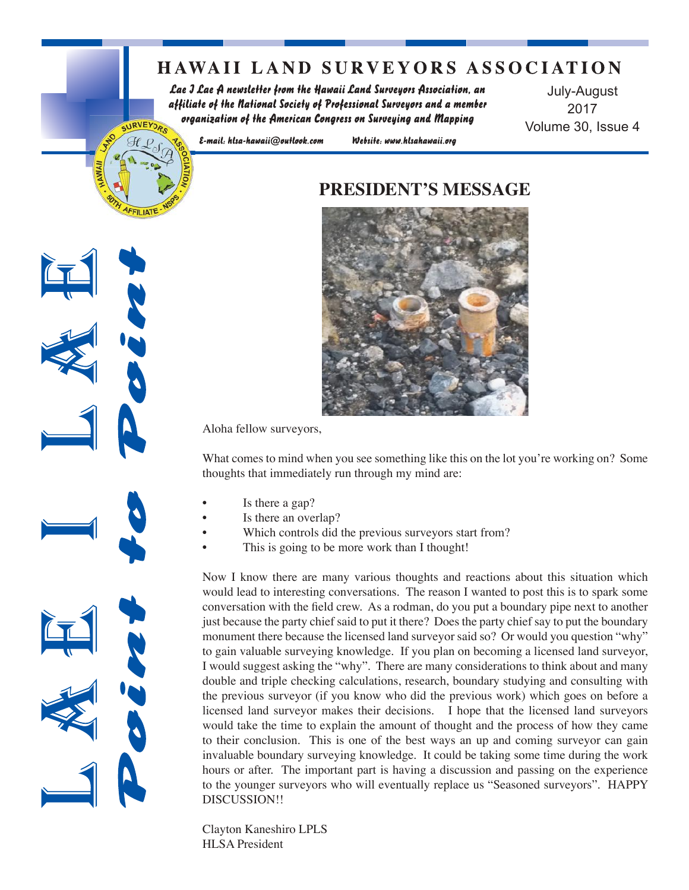## **HAWAII LAND SURVEYORS ASSOCIATION**

Lae J Lae A newsletter from the Hawaii Land Surveyors Association, an affiliate of the National Society of Professional Surveyors and a member organization of the American Congress on Surveying and Mapping URVEYOR.

July-August 2017 Volume 30, Issue 4

E-mail: hlsa-hawaii@outlook.com

Website: www.hlsahawaii.org

### **PRESIDENT'S MESSAGE**



Aloha fellow surveyors,

What comes to mind when you see something like this on the lot you're working on? Some thoughts that immediately run through my mind are:

- Is there a gap?
- Is there an overlap?
- Which controls did the previous surveyors start from?
- This is going to be more work than I thought!

Now I know there are many various thoughts and reactions about this situation which would lead to interesting conversations. The reason I wanted to post this is to spark some conversation with the field crew. As a rodman, do you put a boundary pipe next to another just because the party chief said to put it there? Does the party chief say to put the boundary monument there because the licensed land surveyor said so? Or would you question "why" to gain valuable surveying knowledge. If you plan on becoming a licensed land surveyor, I would suggest asking the "why". There are many considerations to think about and many double and triple checking calculations, research, boundary studying and consulting with the previous surveyor (if you know who did the previous work) which goes on before a licensed land surveyor makes their decisions. I hope that the licensed land surveyors would take the time to explain the amount of thought and the process of how they came to their conclusion. This is one of the best ways an up and coming surveyor can gain invaluable boundary surveying knowledge. It could be taking some time during the work hours or after. The important part is having a discussion and passing on the experience to the younger surveyors who will eventually replace us "Seasoned surveyors". HAPPY DISCUSSION!!

Clayton Kaneshiro LPLS HLSA President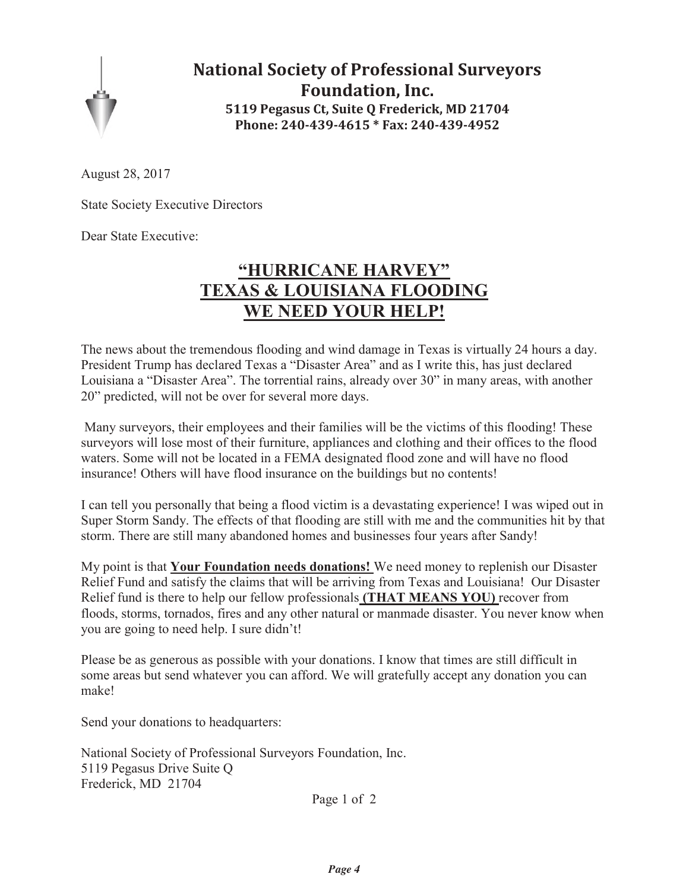

**National Society of Professional Surveyors Foundation, Inc. 5119 Pegasus Ct, Suite Q Frederick, MD 21704 Phone: 240-439-4615 \* Fax: 240-439-4952** 

August 28, 2017

State Society Executive Directors

Dear State Executive:

## **"HURRICANE HARVEY" TEXAS & LOUISIANA FLOODING WE NEED YOUR HELP!**

The news about the tremendous flooding and wind damage in Texas is virtually 24 hours a day. President Trump has declared Texas a "Disaster Area" and as I write this, has just declared Louisiana a "Disaster Area". The torrential rains, already over 30" in many areas, with another 20" predicted, will not be over for several more days.

 Many surveyors, their employees and their families will be the victims of this flooding! These surveyors will lose most of their furniture, appliances and clothing and their offices to the flood waters. Some will not be located in a FEMA designated flood zone and will have no flood insurance! Others will have flood insurance on the buildings but no contents!

I can tell you personally that being a flood victim is a devastating experience! I was wiped out in Super Storm Sandy. The effects of that flooding are still with me and the communities hit by that storm. There are still many abandoned homes and businesses four years after Sandy!

My point is that **Your Foundation needs donations!** We need money to replenish our Disaster Relief Fund and satisfy the claims that will be arriving from Texas and Louisiana! Our Disaster Relief fund is there to help our fellow professionals **(THAT MEANS YOU)** recover from floods, storms, tornados, fires and any other natural or manmade disaster. You never know when you are going to need help. I sure didn't!

Please be as generous as possible with your donations. I know that times are still difficult in some areas but send whatever you can afford. We will gratefully accept any donation you can make!

Send your donations to headquarters:

National Society of Professional Surveyors Foundation, Inc. 5119 Pegasus Drive Suite Q Frederick, MD 21704

Page 1 of 2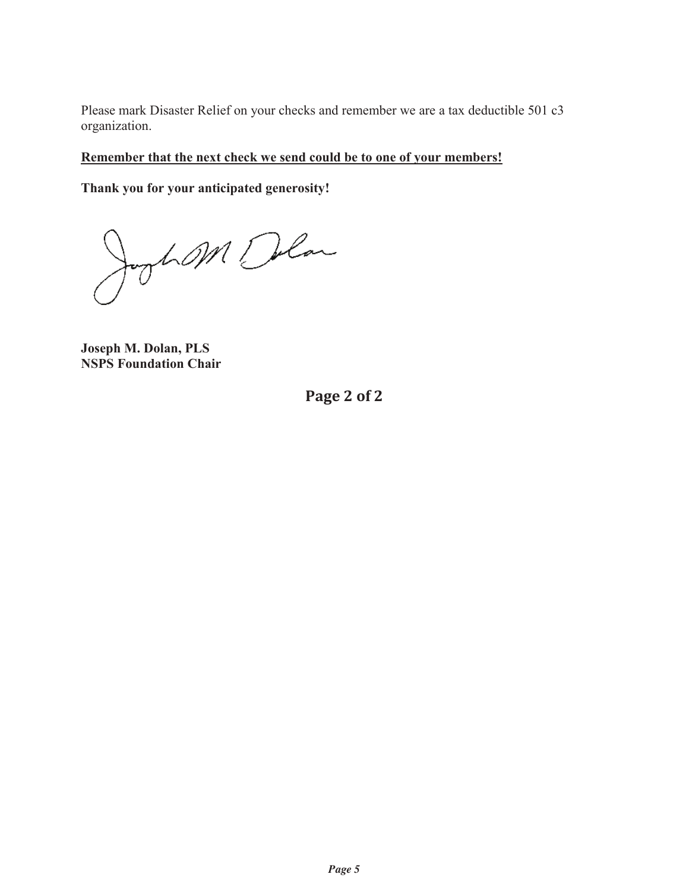Please mark Disaster Relief on your checks and remember we are a tax deductible 501 c3 organization.

### **Remember that the next check we send could be to one of your members!**

**Thank you for your anticipated generosity!** 

Jogham Delan

**Joseph M. Dolan, PLS NSPS Foundation Chair**

**Page 2 of 2**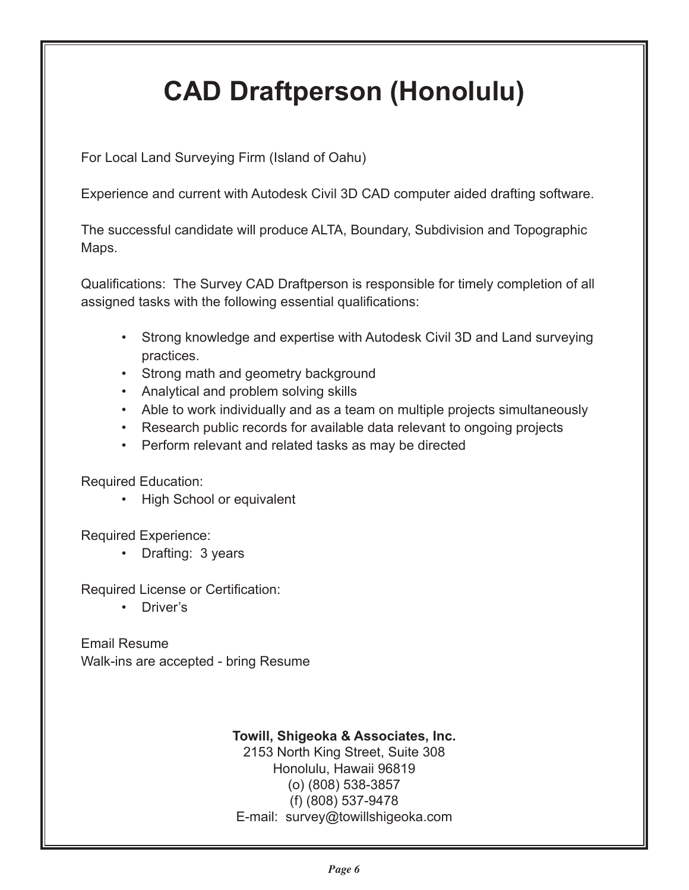# **CAD Draftperson (Honolulu)**

For Local Land Surveying Firm (Island of Oahu)

Experience and current with Autodesk Civil 3D CAD computer aided drafting software.

The successful candidate will produce ALTA, Boundary, Subdivision and Topographic Maps.

Qualifications: The Survey CAD Draftperson is responsible for timely completion of all assigned tasks with the following essential qualifications:

- Strong knowledge and expertise with Autodesk Civil 3D and Land surveying practices.
- Strong math and geometry background
- Analytical and problem solving skills
- Able to work individually and as a team on multiple projects simultaneously
- Research public records for available data relevant to ongoing projects
- Perform relevant and related tasks as may be directed

Required Education:

• High School or equivalent

Required Experience:

• Drafting: 3 years

Required License or Certification:

• Driver's

Email Resume Walk-ins are accepted - bring Resume

### **Towill, Shigeoka & Associates, Inc.**

2153 North King Street, Suite 308 Honolulu, Hawaii 96819 (o) (808) 538-3857 (f) (808) 537-9478 E-mail: survey@towillshigeoka.com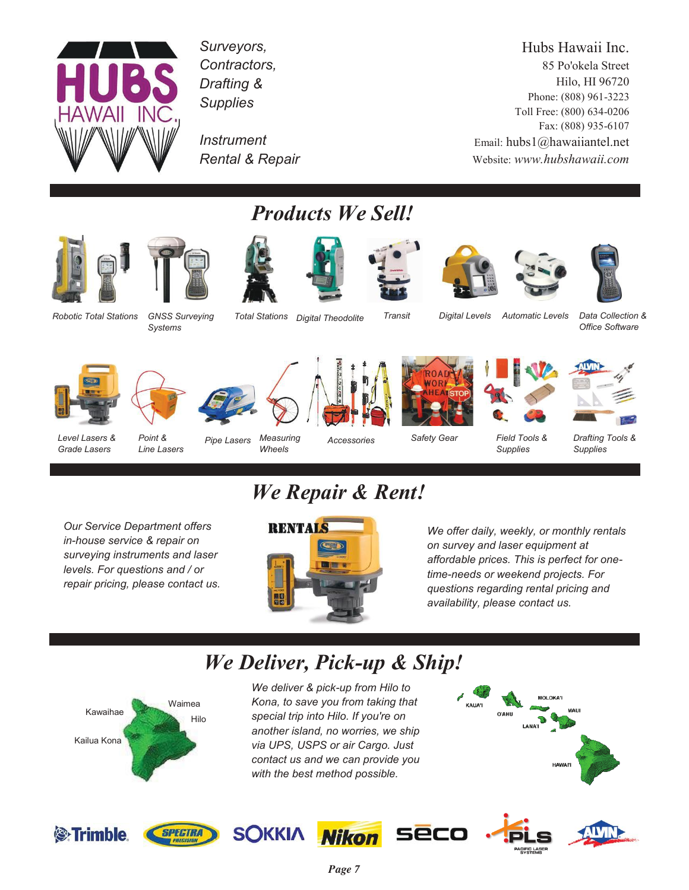

*Surveyors, Contractors, Drafting & Supplies* 

*Instrument Rental & Repair* 

Hubs Hawaii Inc. 85 Po'okela Street Hilo, HI 96720 Phone: (808) 961-3223 Toll Free: (800) 634-0206 Fax: (808) 935-6107 Email: hubs1@hawaiiantel.net Website: *www.hubshawaii.com*









*Products We Sell!* 







*Robotic Total Stations GNSS Surveying* 

*Systems* 

Total Stations Digital Theodolite Transit Digital Levels Automatic Levels Data Collection & *Digital Levels* 

*Office Software* 



*Level Lasers & Grade Lasers* 



*Point & Line Lasers* 



*Wheels* 

*Accessories* 

*Safety Gear* 



*Field Tools & Supplies* 



# *We Repair & Rent!*

*Our Service Department offers in-house service & repair on surveying instruments and laser levels. For questions and / or repair pricing, please contact us.* 



*We offer daily, weekly, or monthly rentals on survey and laser equipment at affordable prices. This is perfect for onetime-needs or weekend projects. For questions regarding rental pricing and availability, please contact us.* 

# *We Deliver, Pick-up & Ship!*



**SPECTRA** 

<sup>®</sup>Trimble

*We deliver & pick-up from Hilo to Kona, to save you from taking that special trip into Hilo. If you're on another island, no worries, we ship via UPS, USPS or air Cargo. Just contact us and we can provide you with the best method possible.*